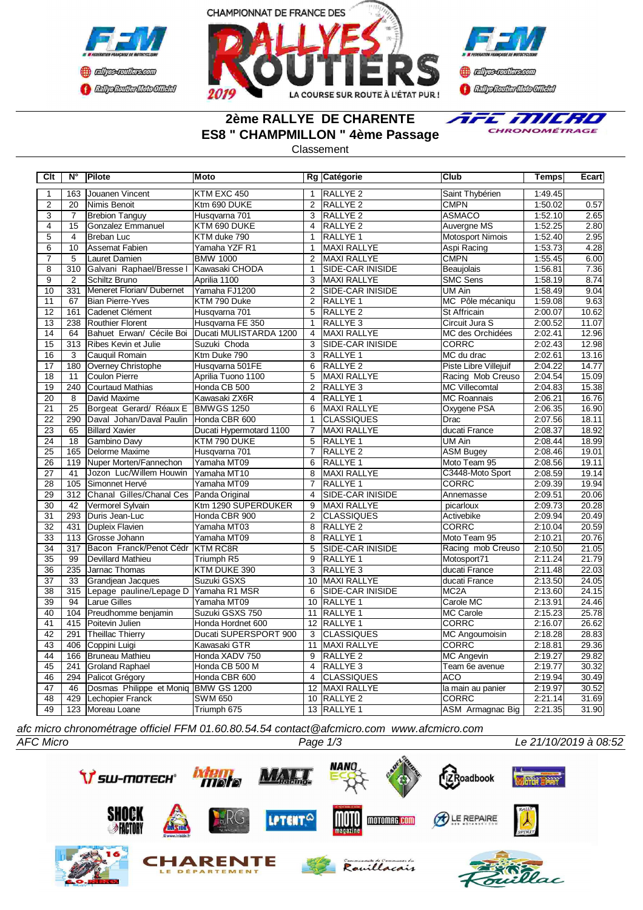





## **2ème RALLYE DE CHARENTE ES8 " CHAMPMILLON " 4ème Passage**



Classement

| C <sub>It</sub> | N°               | Pilote                                  | Moto                    |                         | Rg Catégorie            | <b>Club</b>             | <b>Temps</b> | <b>Ecart</b> |
|-----------------|------------------|-----------------------------------------|-------------------------|-------------------------|-------------------------|-------------------------|--------------|--------------|
| 1               | 163              | Jouanen Vincent                         | KTM EXC 450             | $\mathbf{1}$            | <b>RALLYE 2</b>         | Saint Thybérien         | 1:49.45      |              |
| $\overline{2}$  | 20               | Nimis Benoit                            | Ktm 690 DUKE            | $\overline{2}$          | RALLYE <sub>2</sub>     | <b>CMPN</b>             | 1:50.02      | 0.57         |
| $\overline{3}$  | 7                | <b>Brebion Tanguy</b>                   | Husqvarna 701           | 3                       | RALLYE <sub>2</sub>     | <b>ASMACO</b>           | 1:52.10      | 2.65         |
| $\overline{4}$  | 15               | Gonzalez Emmanuel                       | KTM 690 DUKE            | $\overline{4}$          | <b>RALLYE 2</b>         | Auvergne MS             | 1:52.25      | 2.80         |
| $\overline{5}$  | $\overline{4}$   | <b>Breban Luc</b>                       | KTM duke 790            | $\mathbf{1}$            | RALLYE 1                | <b>Motosport Nimois</b> | 1:52.40      | 2.95         |
| $\overline{6}$  | 10               | Assemat Fabien                          | Yamaha YZF R1           | 1                       | <b>MAXI RALLYE</b>      | Aspi Racing             | 1:53.73      | 4.28         |
| $\overline{7}$  | 5                | Lauret Damien                           | <b>BMW 1000</b>         | $\overline{2}$          | <b>MAXI RALLYE</b>      | <b>CMPN</b>             | 1:55.45      | 6.00         |
| $\overline{8}$  | $\overline{310}$ | Galvani Raphael/Bresse I                | Kawasaki CHODA          | $\overline{1}$          | <b>SIDE-CAR INISIDE</b> | Beaujolais              | 1:56.81      | 7.36         |
| $\overline{9}$  | $\overline{2}$   | Schiltz Bruno                           | Aprilia 1100            | 3                       | <b>MAXI RALLYE</b>      | <b>SMC Sens</b>         | 1:58.19      | 8.74         |
| 10              | 331              | Meneret Florian/ Dubernet               | Yamaha FJ1200           | $\overline{2}$          | SIDE-CAR INISIDE        | UM Ain                  | 1:58.49      | 9.04         |
| 11              | 67               | <b>Bian Pierre-Yves</b>                 | KTM 790 Duke            | 2                       | RALLYE <sub>1</sub>     | MC Pôle mécaniqu        | 1:59.08      | 9.63         |
| 12              | 161              | Cadenet Clément                         | Husqvarna 701           | 5                       | RALLYE <sub>2</sub>     | St Affricain            | 2:00.07      | 10.62        |
| 13              | 238              | <b>Routhier Florent</b>                 | Husqvarna FE 350        | $\mathbf{1}$            | RALLYE <sub>3</sub>     | Circuit Jura S          | 2:00.52      | 11.07        |
| $\overline{14}$ | 64               | Bahuet Erwan/ Cécile Boi                | Ducati MULISTARDA 1200  | $\overline{4}$          | <b>MAXI RALLYE</b>      | MC des Orchidées        | 2:02.41      | 12.96        |
| $\overline{15}$ | $\overline{313}$ | Ribes Kevin et Julie                    | Suzuki Choda            | $\overline{3}$          | <b>SIDE-CAR INISIDE</b> | <b>CORRC</b>            | 2:02.43      | 12.98        |
| $\overline{16}$ | $\overline{3}$   | Cauquil Romain                          | Ktm Duke 790            | 3                       | RALLYE 1                | MC du drac              | 2:02.61      | 13.16        |
| 17              | 180              | Overney Christophe                      | Husqvarna 501FE         | 6                       | <b>RALLYE 2</b>         | Piste Libre Villejuif   | 2:04.22      | 14.77        |
| $\overline{18}$ | 11               | <b>Coulon Pierre</b>                    | Aprilia Tuono 1100      | 5                       | <b>MAXI RALLYE</b>      | Racing Mob Creuso       | 2:04.54      | 15.09        |
| 19              | 240              | Courtaud Mathias                        | Honda CB 500            | $\mathfrak{p}$          | RALLYE <sub>3</sub>     | MC Villecomtal          | 2:04.83      | 15.38        |
| 20              | 8                | David Maxime                            | Kawasaki ZX6R           | 4                       | RALLYE <sub>1</sub>     | <b>MC Roannais</b>      | 2:06.21      | 16.76        |
| $\overline{21}$ | 25               | Borgeat Gerard/ Réaux E BMWGS 1250      |                         | 6                       | MAXI RALLYE             | Oxygene PSA             | 2:06.35      | 16.90        |
| $\overline{22}$ | 290              | Daval Johan/Daval Paulin                | Honda CBR 600           | $\mathbf{1}$            | <b>CLASSIQUES</b>       | Drac                    | 2:07.56      | 18.11        |
| 23              | 65               | <b>Billard Xavier</b>                   | Ducati Hypermotard 1100 | $\overline{7}$          | <b>MAXI RALLYE</b>      | ducati France           | 2:08.37      | 18.92        |
| 24              | 18               | Gambino Davy                            | KTM 790 DUKE            | 5                       | RALLYE 1                | UM Ain                  | 2:08.44      | 18.99        |
| $\overline{25}$ | 165              | Delorme Maxime                          | Husqvarna 701           | $\overline{7}$          | RALLYE <sub>2</sub>     | <b>ASM Bugey</b>        | 2:08.46      | 19.01        |
| $\overline{26}$ | 119              | Nuper Morten/Fannechon                  | Yamaha MT09             | 6                       | RALLYE <sub>1</sub>     | Moto Team 95            | 2:08.56      | 19.11        |
| $\overline{27}$ | 41               | Jozon Luc/Willem Houwin                 | Yamaha MT10             | 8                       | MAXI RALLYE             | C3448-Moto Sport        | 2:08.59      | 19.14        |
| $\overline{28}$ | 105              | Simonnet Hervé                          | Yamaha MT09             | 7                       | RALLYE <sub>1</sub>     | <b>CORRC</b>            | 2:09.39      | 19.94        |
| 29              | 312              | Chanal Gilles/Chanal Ces Panda Original |                         | $\overline{4}$          | SIDE-CAR INISIDE        | Annemasse               | 2:09.51      | 20.06        |
| 30              | 42               | Vermorel Sylvain                        | Ktm 1290 SUPERDUKER     | 9                       | <b>MAXI RALLYE</b>      | picarloux               | 2:09.73      | 20.28        |
| 31              | 293              | Duris Jean-Luc                          | Honda CBR 900           | $\overline{2}$          | <b>CLASSIQUES</b>       | Activebike              | 2:09.94      | 20.49        |
| $\overline{32}$ | 431              | Dupleix Flavien                         | Yamaha MT03             | 8                       | <b>RALLYE 2</b>         | CORRC                   | 2:10.04      | 20.59        |
| $\overline{33}$ | 113              | Grosse Johann                           | Yamaha MT09             | $\overline{8}$          | <b>RALLYE 1</b>         | Moto Team 95            | 2:10.21      | 20.76        |
| $\overline{34}$ | $\overline{317}$ | Bacon Franck/Penot Cédr                 | <b>KTM RC8R</b>         | 5                       | <b>SIDE-CAR INISIDE</b> | Racing mob Creuso       | 2:10.50      | 21.05        |
| $\overline{35}$ | 99               | Devillard Mathieu                       | Triumph R5              | 9                       | RALLYE 1                | Motosport71             | 2:11.24      | 21.79        |
| 36              | 235              | Jarnac Thomas                           | KTM DUKE 390            | 3                       | RALLYE <sub>3</sub>     | ducati France           | 2:11.48      | 22.03        |
| 37              | 33               | Grandjean Jacques                       | Suzuki GSXS             | 10                      | <b>MAXI RALLYE</b>      | ducati France           | 2:13.50      | 24.05        |
| $\overline{38}$ | 315              | Lepage pauline/Lepage D                 | Yamaha R1 MSR           | 6                       | SIDE-CAR INISIDE        | MC <sub>2</sub> A       | 2:13.60      | 24.15        |
| 39              | 94               | Larue Gilles                            | Yamaha MT09             | 10                      | RALLYE 1                | Carole MC               | 2:13.91      | 24.46        |
| 40              | 104              | Preudhomme benjamin                     | Suzuki GSXS 750         | 11                      | <b>RALLYE 1</b>         | <b>MC Carole</b>        | 2:15.23      | 25.78        |
| 41              | 415              | Poitevin Julien                         | Honda Hordnet 600       | 12                      | <b>RALLYE 1</b>         | <b>CORRC</b>            | 2:16.07      | 26.62        |
| $\overline{42}$ | 291              | Theillac Thierry                        | Ducati SUPERSPORT 900   | 3                       | <b>CLASSIQUES</b>       | <b>MC Angoumoisin</b>   | 2:18.28      | 28.83        |
| 43              | 406              | Coppini Luigi                           | Kawasaki GTR            | 11                      | <b>MAXI RALLYE</b>      | <b>CORRC</b>            | 2:18.81      | 29.36        |
| $\overline{44}$ | 166              | Bruneau Mathieu                         | Honda XADV 750          | 9                       | <b>RALLYE 2</b>         | <b>MC Angevin</b>       | 2:19.27      | 29.82        |
| $\overline{45}$ | 241              | <b>Groland Raphael</b>                  | Honda CB 500 M          | 4                       | RALLYE <sub>3</sub>     | Team 6e avenue          | 2:19.77      | 30.32        |
| 46              | 294              | Palicot Grégory                         | Honda CBR 600           | $\overline{\mathbf{4}}$ | <b>CLASSIQUES</b>       | <b>ACO</b>              | 2:19.94      | 30.49        |
| 47              | 46               | Dosmas Philippe et Moniq                | <b>BMW GS 1200</b>      | 12 <sup>2</sup>         | MAXI RALLYE             | la main au panier       | 2:19.97      | 30.52        |
| 48              | 429              | Lechopier Franck                        | <b>SWM 650</b>          | 10                      | RALLYE <sub>2</sub>     | <b>CORRC</b>            | 2:21.14      | 31.69        |
| 49              |                  | 123 Moreau Loane                        | Triumph 675             |                         | 13 RALLYE 1             | ASM Armagnac Big        | 2:21.35      | 31.90        |

*afc micro chronométrage officiel FFM 01.60.80.54.54 contact@afcmicro.com www.afcmicro.com*

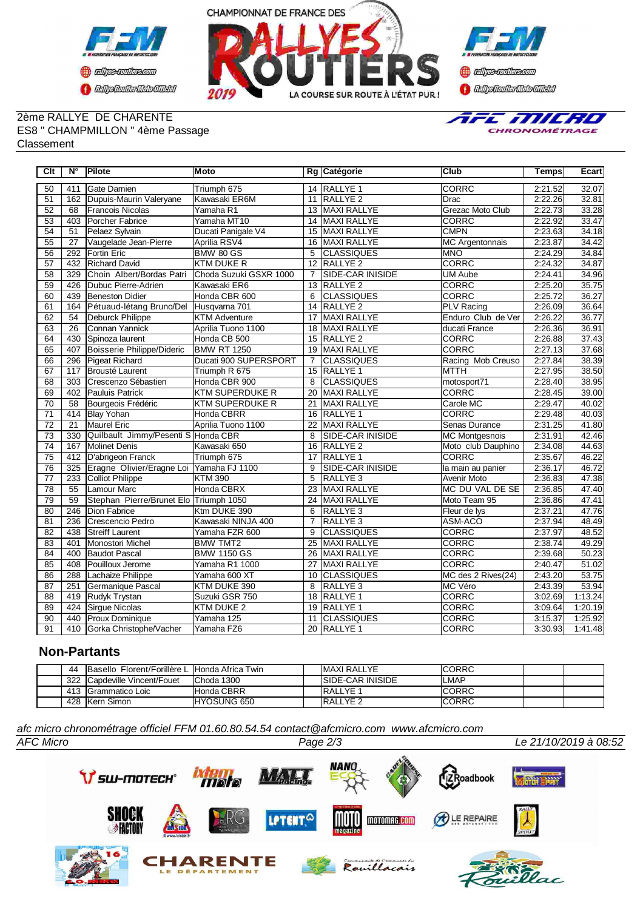





### 2ème RALLYE DE CHARENTE ES8 " CHAMPMILLON " 4ème Passage Classement



| $\overline{C}$ It | $N^{\circ}$      | Pilote                                   | <b>Moto</b>            |                 | Rg Catégorie            | <b>Club</b>            | <b>Temps</b> | <b>Ecart</b> |
|-------------------|------------------|------------------------------------------|------------------------|-----------------|-------------------------|------------------------|--------------|--------------|
| 50                | 411              | <b>I</b> Gate Damien                     | Triumph 675            |                 | 14 RALLYE 1             | <b>CORRC</b>           | 2:21.52      | 32.07        |
| 51                | 162              | Dupuis-Maurin Valeryane                  | Kawasaki ER6M          | 11              | RALLYE <sub>2</sub>     | Drac                   | 2:22.26      | 32.81        |
| 52                | 68               | Francois Nicolas                         | Yamaha R1              | 13              | <b>MAXI RALLYE</b>      | Grezac Moto Club       | 2:22.73      | 33.28        |
| $\overline{53}$   | 403              | Porcher Fabrice                          | Yamaha MT10            | 14              | MAXI RALLYE             | <b>CORRC</b>           | 2:22.92      | 33.47        |
| 54                | 51               | Pelaez Sylvain                           | Ducati Panigale V4     | 15              | MAXI RALLYE             | <b>CMPN</b>            | 2:23.63      | 34.18        |
| 55                | $\overline{27}$  | Vaugelade Jean-Pierre                    | Aprilia RSV4           | 16              | MAXI RALLYE             | <b>MC Argentonnais</b> | 2:23.87      | 34.42        |
| $\overline{56}$   | 292              | <b>Fortin Eric</b>                       | <b>BMW 80 GS</b>       | 5               | <b>CLASSIQUES</b>       | <b>MNO</b>             | 2:24.29      | 34.84        |
| 57                | 432              | <b>Richard David</b>                     | <b>KTM DUKE R</b>      | $\overline{12}$ | <b>RALLYE 2</b>         | <b>CORRC</b>           | 2:24.32      | 34.87        |
| 58                | 329              | Choin Albert/Bordas Patri                | Choda Suzuki GSXR 1000 | $\overline{7}$  | <b>SIDE-CAR INISIDE</b> | <b>UM Aube</b>         | 2:24.41      | 34.96        |
| $\overline{59}$   | 426              | Dubuc Pierre-Adrien                      | Kawasaki ER6           | 13              | <b>RALLYE 2</b>         | <b>CORRC</b>           | 2:25.20      | 35.75        |
| 60                | 439              | <b>Beneston Didier</b>                   | Honda CBR 600          | 6               | <b>CLASSIQUES</b>       | <b>CORRC</b>           | 2:25.72      | 36.27        |
| 61                | 164              | Pétuaud-létang Bruno/Del Husqvarna 701   |                        | 14              | <b>RALLYE 2</b>         | <b>PLV</b> Racing      | 2:26.09      | 36.64        |
| 62                | $\overline{54}$  | <b>Deburck Philippe</b>                  | <b>KTM Adventure</b>   | $\overline{17}$ | <b>MAXI RALLYE</b>      | Enduro Club de Ver     | 2:26.22      | 36.77        |
| 63                | 26               | <b>I</b> Connan Yannick                  | Aprilia Tuono 1100     | 18              | MAXI RALLYE             | ducati France          | 2:26.36      | 36.91        |
| 64                | 430              | Spinoza laurent                          | Honda CB 500           | $\overline{15}$ | <b>RALLYE 2</b>         | <b>CORRC</b>           | 2:26.88      | 37.43        |
| 65                | 407              | Boisserie Philippe/Dideric               | <b>BMW RT 1250</b>     | 19              | MAXI RALLYE             | <b>CORRC</b>           | 2:27.13      | 37.68        |
| 66                | 296              | Pigeat Richard                           | Ducati 900 SUPERSPORT  | $\overline{7}$  | <b>CLASSIQUES</b>       | Racing Mob Creuso      | 2:27.84      | 38.39        |
| 67                | 117              | Brousté Laurent                          | Triumph R 675          | 15              | <b>RALLYE 1</b>         | <b>MTTH</b>            | 2:27.95      | 38.50        |
| 68                | 303              | Crescenzo Sébastien                      | Honda CBR 900          | 8               | <b>CLASSIQUES</b>       | motosport71            | 2:28.40      | 38.95        |
| 69                | 402              | <b>Pauluis Patrick</b>                   | <b>KTM SUPERDUKE R</b> | $\overline{20}$ | <b>MAXI RALLYE</b>      | <b>CORRC</b>           | 2:28.45      | 39.00        |
| $\overline{70}$   | $\overline{58}$  | Bourgeois Frédéric                       | <b>KTM SUPERDUKE R</b> | 21              | <b>MAXI RALLYE</b>      | Carole MC              | 2:29.47      | 40.02        |
| $\overline{71}$   | 414              | <b>Blay Yohan</b>                        | <b>Honda CBRR</b>      | 16              | <b>RALLYE 1</b>         | CORRC                  | 2:29.48      | 40.03        |
| $\overline{72}$   | $\overline{21}$  | Maurel Eric                              | Aprilia Tuono 1100     | 22              | <b>MAXI RALLYE</b>      | Senas Durance          | 2:31.25      | 41.80        |
| $\overline{73}$   | 330              | Quilbault Jimmy/Pesenti S Honda CBR      |                        | 8               | SIDE-CAR INISIDE        | <b>MC Montgesnois</b>  | 2:31.91      | 42.46        |
| $\overline{74}$   | 167              | <b>Molinet Denis</b>                     | Kawasaki 650           | 16              | <b>RALLYE 2</b>         | Moto club Dauphino     | 2:34.08      | 44.63        |
| 75                | 412              | D'abrigeon Franck                        | Triumph 675            | 17              | <b>RALLYE 1</b>         | <b>CORRC</b>           | 2:35.67      | 46.22        |
| 76                | 325              | Eragne Olivier/Eragne Loi Yamaha FJ 1100 |                        | 9               | <b>SIDE-CAR INISIDE</b> | la main au panier      | 2:36.17      | 46.72        |
| $\overline{77}$   | 233              | <b>Colliot Philippe</b>                  | <b>KTM 390</b>         | 5               | <b>RALLYE 3</b>         | <b>Avenir Moto</b>     | 2:36.83      | 47.38        |
| $\overline{78}$   | 55               | Lamour Marc                              | <b>Honda CBRX</b>      | 23              | <b>MAXI RALLYE</b>      | MC DU VAL DE SE        | 2:36.85      | 47.40        |
| $\overline{79}$   | 59               | Stephan Pierre/Brunet Elo Triumph 1050   |                        | 24              | <b>MAXI RALLYE</b>      | Moto Team 95           | 2:36.86      | 47.41        |
| 80                | $\overline{246}$ | Dion Fabrice                             | Ktm DUKE 390           | 6               | <b>RALLYE 3</b>         | Fleur de lys           | 2:37.21      | 47.76        |
| 81                | 236              | Crescencio Pedro                         | Kawasaki NINJA 400     | $\overline{7}$  | <b>RALLYE 3</b>         | ASM-ACO                | 2:37.94      | 48.49        |
| 82                | 438              | <b>Streiff Laurent</b>                   | Yamaha FZR 600         | 9               | <b>CLASSIQUES</b>       | <b>CORRC</b>           | 2:37.97      | 48.52        |
| 83                | 401              | Monostori Michel                         | <b>BMW TMT2</b>        | 25              | <b>MAXI RALLYE</b>      | <b>CORRC</b>           | 2:38.74      | 49.29        |
| 84                | 400              | <b>Baudot Pascal</b>                     | <b>BMW 1150 GS</b>     | 26              | <b>MAXI RALLYE</b>      | <b>CORRC</b>           | 2:39.68      | 50.23        |
| 85                | 408              | Pouilloux Jerome                         | Yamaha R1 1000         | 27              | MAXI RALLYE             | <b>CORRC</b>           | 2:40.47      | 51.02        |
| 86                | 288              | Lachaize Philippe                        | Yamaha 600 XT          | 10              | <b>CLASSIQUES</b>       | MC des 2 Rives(24)     | 2:43.20      | 53.75        |
| 87                | 251              | Germanique Pascal                        | KTM DUKE 390           | 8               | RALLYE <sub>3</sub>     | MC Véro                | 2:43.39      | 53.94        |
| $\overline{88}$   | 419              | Rudyk Trystan                            | Suzuki GSR 750         | 18              | <b>RALLYE 1</b>         | <b>CORRC</b>           | 3:02.69      | 1:13.24      |
| 89                | 424              | Sirque Nicolas                           | <b>KTM DUKE 2</b>      |                 | 19 RALLYE 1             | <b>CORRC</b>           | 3:09.64      | 1:20.19      |
| 90                | 440              | <b>Proux Dominique</b>                   | Yamaha 125             | 11              | <b>CLASSIQUES</b>       | <b>CORRC</b>           | 3:15.37      | 1:25.92      |
| $\overline{91}$   | 410              | Gorka Christophe/Vacher                  | Yamaha FZ6             |                 | 20 RALLYE 1             | CORRC                  | 3:30.93      | 1:41.48      |

# **Non-Partants**

| 44  | Basello Florent/Forillère L Honda Africa Twin |                    | <b>IMAXI RALLYE</b> | <b>ICORRC</b> |  |
|-----|-----------------------------------------------|--------------------|---------------------|---------------|--|
| 322 | <b>ICapdeville Vincent/Fouet</b>              | Choda 1300         | ISIDE-CAR INISIDE   | ILMAP         |  |
|     | 413 Grammatico Loic                           | Honda CBRR         | <b>IRALLYE</b>      | <b>ICORRC</b> |  |
|     | 428 Kern Simon                                | <b>HYOSUNG 650</b> | lrallye 2           | ICORRC        |  |

*AFC Micro Page 2/3 Le 21/10/2019 à 08:52 afc micro chronométrage officiel FFM 01.60.80.54.54 contact@afcmicro.com www.afcmicro.com*